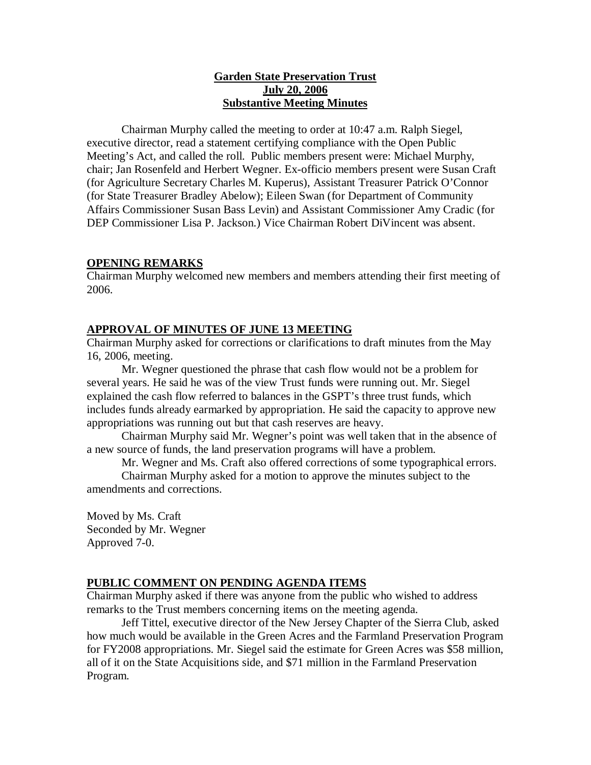## **Garden State Preservation Trust July 20, 2006 Substantive Meeting Minutes**

Chairman Murphy called the meeting to order at 10:47 a.m. Ralph Siegel, executive director, read a statement certifying compliance with the Open Public Meeting's Act, and called the roll. Public members present were: Michael Murphy, chair; Jan Rosenfeld and Herbert Wegner. Ex-officio members present were Susan Craft (for Agriculture Secretary Charles M. Kuperus), Assistant Treasurer Patrick O'Connor (for State Treasurer Bradley Abelow); Eileen Swan (for Department of Community Affairs Commissioner Susan Bass Levin) and Assistant Commissioner Amy Cradic (for DEP Commissioner Lisa P. Jackson.) Vice Chairman Robert DiVincent was absent.

## **OPENING REMARKS**

Chairman Murphy welcomed new members and members attending their first meeting of 2006.

### **APPROVAL OF MINUTES OF JUNE 13 MEETING**

Chairman Murphy asked for corrections or clarifications to draft minutes from the May 16, 2006, meeting.

Mr. Wegner questioned the phrase that cash flow would not be a problem for several years. He said he was of the view Trust funds were running out. Mr. Siegel explained the cash flow referred to balances in the GSPT's three trust funds, which includes funds already earmarked by appropriation. He said the capacity to approve new appropriations was running out but that cash reserves are heavy.

Chairman Murphy said Mr. Wegner's point was well taken that in the absence of a new source of funds, the land preservation programs will have a problem.

Mr. Wegner and Ms. Craft also offered corrections of some typographical errors.

Chairman Murphy asked for a motion to approve the minutes subject to the amendments and corrections.

Moved by Ms. Craft Seconded by Mr. Wegner Approved 7-0.

### **PUBLIC COMMENT ON PENDING AGENDA ITEMS**

Chairman Murphy asked if there was anyone from the public who wished to address remarks to the Trust members concerning items on the meeting agenda.

Jeff Tittel, executive director of the New Jersey Chapter of the Sierra Club, asked how much would be available in the Green Acres and the Farmland Preservation Program for FY2008 appropriations. Mr. Siegel said the estimate for Green Acres was \$58 million, all of it on the State Acquisitions side, and \$71 million in the Farmland Preservation Program.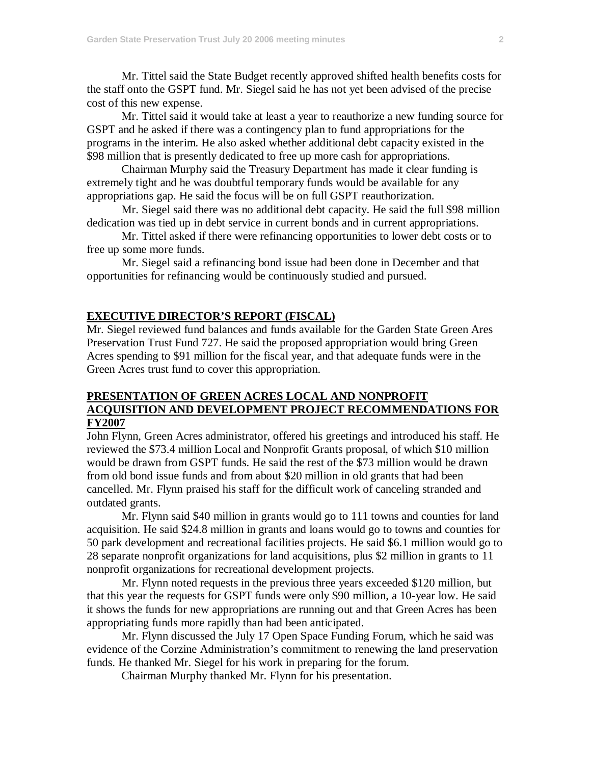Mr. Tittel said the State Budget recently approved shifted health benefits costs for the staff onto the GSPT fund. Mr. Siegel said he has not yet been advised of the precise cost of this new expense.

Mr. Tittel said it would take at least a year to reauthorize a new funding source for GSPT and he asked if there was a contingency plan to fund appropriations for the programs in the interim. He also asked whether additional debt capacity existed in the \$98 million that is presently dedicated to free up more cash for appropriations.

Chairman Murphy said the Treasury Department has made it clear funding is extremely tight and he was doubtful temporary funds would be available for any appropriations gap. He said the focus will be on full GSPT reauthorization.

Mr. Siegel said there was no additional debt capacity. He said the full \$98 million dedication was tied up in debt service in current bonds and in current appropriations.

Mr. Tittel asked if there were refinancing opportunities to lower debt costs or to free up some more funds.

Mr. Siegel said a refinancing bond issue had been done in December and that opportunities for refinancing would be continuously studied and pursued.

### **EXECUTIVE DIRECTOR'S REPORT (FISCAL)**

Mr. Siegel reviewed fund balances and funds available for the Garden State Green Ares Preservation Trust Fund 727. He said the proposed appropriation would bring Green Acres spending to \$91 million for the fiscal year, and that adequate funds were in the Green Acres trust fund to cover this appropriation.

## **PRESENTATION OF GREEN ACRES LOCAL AND NONPROFIT ACQUISITION AND DEVELOPMENT PROJECT RECOMMENDATIONS FOR FY2007**

John Flynn, Green Acres administrator, offered his greetings and introduced his staff. He reviewed the \$73.4 million Local and Nonprofit Grants proposal, of which \$10 million would be drawn from GSPT funds. He said the rest of the \$73 million would be drawn from old bond issue funds and from about \$20 million in old grants that had been cancelled. Mr. Flynn praised his staff for the difficult work of canceling stranded and outdated grants.

Mr. Flynn said \$40 million in grants would go to 111 towns and counties for land acquisition. He said \$24.8 million in grants and loans would go to towns and counties for 50 park development and recreational facilities projects. He said \$6.1 million would go to 28 separate nonprofit organizations for land acquisitions, plus \$2 million in grants to 11 nonprofit organizations for recreational development projects.

Mr. Flynn noted requests in the previous three years exceeded \$120 million, but that this year the requests for GSPT funds were only \$90 million, a 10-year low. He said it shows the funds for new appropriations are running out and that Green Acres has been appropriating funds more rapidly than had been anticipated.

Mr. Flynn discussed the July 17 Open Space Funding Forum, which he said was evidence of the Corzine Administration's commitment to renewing the land preservation funds. He thanked Mr. Siegel for his work in preparing for the forum.

Chairman Murphy thanked Mr. Flynn for his presentation.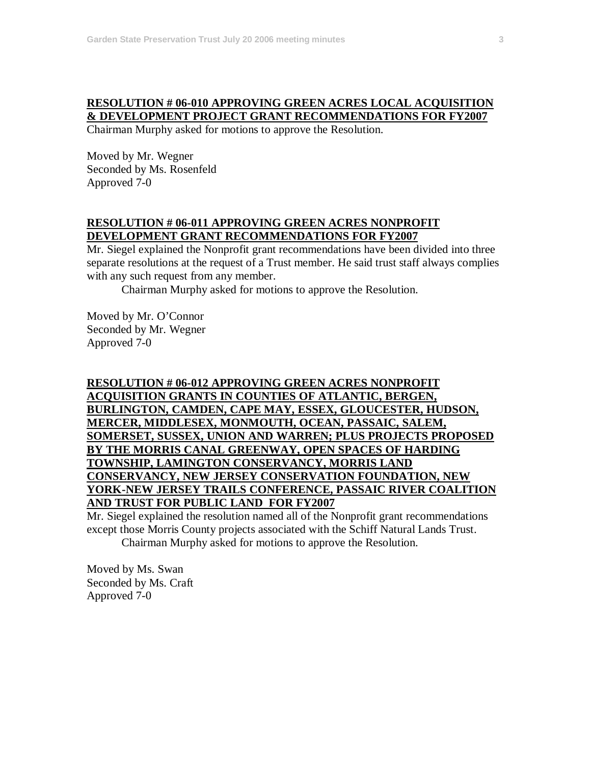# **RESOLUTION # 06-010 APPROVING GREEN ACRES LOCAL ACQUISITION & DEVELOPMENT PROJECT GRANT RECOMMENDATIONS FOR FY2007**

Chairman Murphy asked for motions to approve the Resolution.

Moved by Mr. Wegner Seconded by Ms. Rosenfeld Approved 7-0

## **RESOLUTION # 06-011 APPROVING GREEN ACRES NONPROFIT DEVELOPMENT GRANT RECOMMENDATIONS FOR FY2007**

Mr. Siegel explained the Nonprofit grant recommendations have been divided into three separate resolutions at the request of a Trust member. He said trust staff always complies with any such request from any member.

Chairman Murphy asked for motions to approve the Resolution.

Moved by Mr. O'Connor Seconded by Mr. Wegner Approved 7-0

## **RESOLUTION # 06-012 APPROVING GREEN ACRES NONPROFIT ACQUISITION GRANTS IN COUNTIES OF ATLANTIC, BERGEN, BURLINGTON, CAMDEN, CAPE MAY, ESSEX, GLOUCESTER, HUDSON, MERCER, MIDDLESEX, MONMOUTH, OCEAN, PASSAIC, SALEM, SOMERSET, SUSSEX, UNION AND WARREN; PLUS PROJECTS PROPOSED BY THE MORRIS CANAL GREENWAY, OPEN SPACES OF HARDING TOWNSHIP, LAMINGTON CONSERVANCY, MORRIS LAND CONSERVANCY, NEW JERSEY CONSERVATION FOUNDATION, NEW YORK-NEW JERSEY TRAILS CONFERENCE, PASSAIC RIVER COALITION AND TRUST FOR PUBLIC LAND FOR FY2007**

Mr. Siegel explained the resolution named all of the Nonprofit grant recommendations except those Morris County projects associated with the Schiff Natural Lands Trust. Chairman Murphy asked for motions to approve the Resolution.

Moved by Ms. Swan Seconded by Ms. Craft Approved 7-0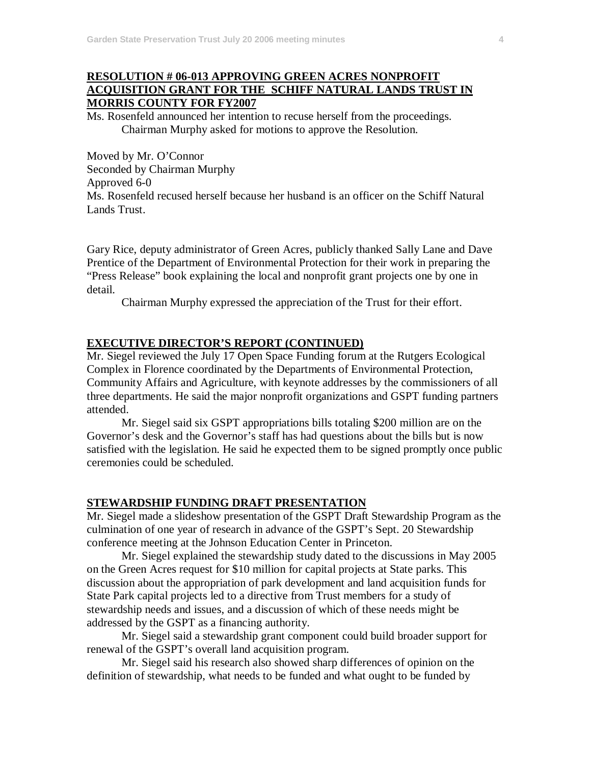## **RESOLUTION # 06-013 APPROVING GREEN ACRES NONPROFIT ACQUISITION GRANT FOR THE SCHIFF NATURAL LANDS TRUST IN MORRIS COUNTY FOR FY2007**

Ms. Rosenfeld announced her intention to recuse herself from the proceedings. Chairman Murphy asked for motions to approve the Resolution.

Moved by Mr. O'Connor Seconded by Chairman Murphy Approved 6-0 Ms. Rosenfeld recused herself because her husband is an officer on the Schiff Natural Lands Trust.

Gary Rice, deputy administrator of Green Acres, publicly thanked Sally Lane and Dave Prentice of the Department of Environmental Protection for their work in preparing the "Press Release" book explaining the local and nonprofit grant projects one by one in detail.

Chairman Murphy expressed the appreciation of the Trust for their effort.

### **EXECUTIVE DIRECTOR'S REPORT (CONTINUED)**

Mr. Siegel reviewed the July 17 Open Space Funding forum at the Rutgers Ecological Complex in Florence coordinated by the Departments of Environmental Protection, Community Affairs and Agriculture, with keynote addresses by the commissioners of all three departments. He said the major nonprofit organizations and GSPT funding partners attended.

Mr. Siegel said six GSPT appropriations bills totaling \$200 million are on the Governor's desk and the Governor's staff has had questions about the bills but is now satisfied with the legislation. He said he expected them to be signed promptly once public ceremonies could be scheduled.

### **STEWARDSHIP FUNDING DRAFT PRESENTATION**

Mr. Siegel made a slideshow presentation of the GSPT Draft Stewardship Program as the culmination of one year of research in advance of the GSPT's Sept. 20 Stewardship conference meeting at the Johnson Education Center in Princeton.

Mr. Siegel explained the stewardship study dated to the discussions in May 2005 on the Green Acres request for \$10 million for capital projects at State parks. This discussion about the appropriation of park development and land acquisition funds for State Park capital projects led to a directive from Trust members for a study of stewardship needs and issues, and a discussion of which of these needs might be addressed by the GSPT as a financing authority.

Mr. Siegel said a stewardship grant component could build broader support for renewal of the GSPT's overall land acquisition program.

Mr. Siegel said his research also showed sharp differences of opinion on the definition of stewardship, what needs to be funded and what ought to be funded by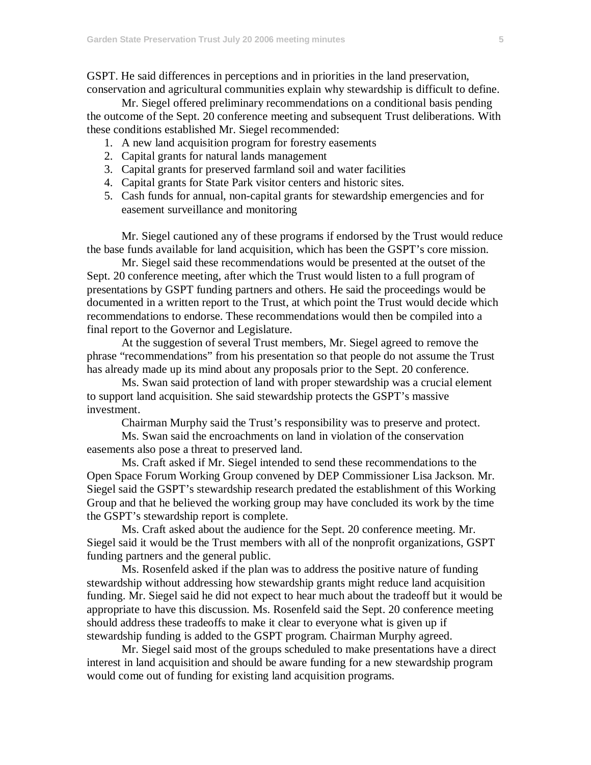GSPT. He said differences in perceptions and in priorities in the land preservation, conservation and agricultural communities explain why stewardship is difficult to define.

Mr. Siegel offered preliminary recommendations on a conditional basis pending the outcome of the Sept. 20 conference meeting and subsequent Trust deliberations. With these conditions established Mr. Siegel recommended:

- 1. A new land acquisition program for forestry easements
- 2. Capital grants for natural lands management
- 3. Capital grants for preserved farmland soil and water facilities
- 4. Capital grants for State Park visitor centers and historic sites.
- 5. Cash funds for annual, non-capital grants for stewardship emergencies and for easement surveillance and monitoring

Mr. Siegel cautioned any of these programs if endorsed by the Trust would reduce the base funds available for land acquisition, which has been the GSPT's core mission.

Mr. Siegel said these recommendations would be presented at the outset of the Sept. 20 conference meeting, after which the Trust would listen to a full program of presentations by GSPT funding partners and others. He said the proceedings would be documented in a written report to the Trust, at which point the Trust would decide which recommendations to endorse. These recommendations would then be compiled into a final report to the Governor and Legislature.

At the suggestion of several Trust members, Mr. Siegel agreed to remove the phrase "recommendations" from his presentation so that people do not assume the Trust has already made up its mind about any proposals prior to the Sept. 20 conference.

Ms. Swan said protection of land with proper stewardship was a crucial element to support land acquisition. She said stewardship protects the GSPT's massive investment.

Chairman Murphy said the Trust's responsibility was to preserve and protect.

Ms. Swan said the encroachments on land in violation of the conservation easements also pose a threat to preserved land.

Ms. Craft asked if Mr. Siegel intended to send these recommendations to the Open Space Forum Working Group convened by DEP Commissioner Lisa Jackson. Mr. Siegel said the GSPT's stewardship research predated the establishment of this Working Group and that he believed the working group may have concluded its work by the time the GSPT's stewardship report is complete.

Ms. Craft asked about the audience for the Sept. 20 conference meeting. Mr. Siegel said it would be the Trust members with all of the nonprofit organizations, GSPT funding partners and the general public.

Ms. Rosenfeld asked if the plan was to address the positive nature of funding stewardship without addressing how stewardship grants might reduce land acquisition funding. Mr. Siegel said he did not expect to hear much about the tradeoff but it would be appropriate to have this discussion. Ms. Rosenfeld said the Sept. 20 conference meeting should address these tradeoffs to make it clear to everyone what is given up if stewardship funding is added to the GSPT program. Chairman Murphy agreed.

Mr. Siegel said most of the groups scheduled to make presentations have a direct interest in land acquisition and should be aware funding for a new stewardship program would come out of funding for existing land acquisition programs.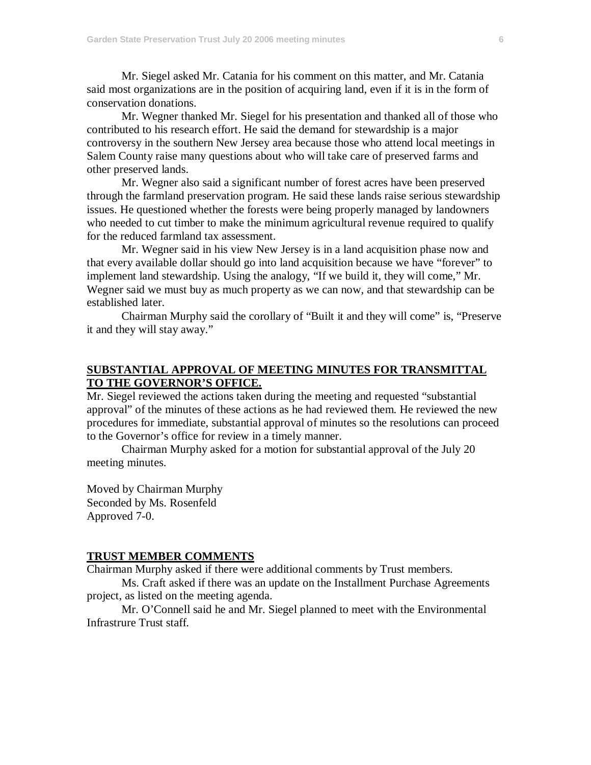Mr. Siegel asked Mr. Catania for his comment on this matter, and Mr. Catania said most organizations are in the position of acquiring land, even if it is in the form of conservation donations.

Mr. Wegner thanked Mr. Siegel for his presentation and thanked all of those who contributed to his research effort. He said the demand for stewardship is a major controversy in the southern New Jersey area because those who attend local meetings in Salem County raise many questions about who will take care of preserved farms and other preserved lands.

Mr. Wegner also said a significant number of forest acres have been preserved through the farmland preservation program. He said these lands raise serious stewardship issues. He questioned whether the forests were being properly managed by landowners who needed to cut timber to make the minimum agricultural revenue required to qualify for the reduced farmland tax assessment.

Mr. Wegner said in his view New Jersey is in a land acquisition phase now and that every available dollar should go into land acquisition because we have "forever" to implement land stewardship. Using the analogy, "If we build it, they will come," Mr. Wegner said we must buy as much property as we can now, and that stewardship can be established later.

Chairman Murphy said the corollary of "Built it and they will come" is, "Preserve it and they will stay away."

## **SUBSTANTIAL APPROVAL OF MEETING MINUTES FOR TRANSMITTAL TO THE GOVERNOR'S OFFICE.**

Mr. Siegel reviewed the actions taken during the meeting and requested "substantial approval" of the minutes of these actions as he had reviewed them. He reviewed the new procedures for immediate, substantial approval of minutes so the resolutions can proceed to the Governor's office for review in a timely manner.

Chairman Murphy asked for a motion for substantial approval of the July 20 meeting minutes.

Moved by Chairman Murphy Seconded by Ms. Rosenfeld Approved 7-0.

#### **TRUST MEMBER COMMENTS**

Chairman Murphy asked if there were additional comments by Trust members.

Ms. Craft asked if there was an update on the Installment Purchase Agreements project, as listed on the meeting agenda.

Mr. O'Connell said he and Mr. Siegel planned to meet with the Environmental Infrastrure Trust staff.